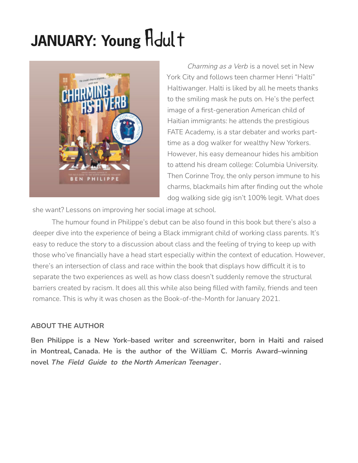## JANUARY: Young Hdult



Charming as a Verb is a novel set in New York City and follows teen charmer Henri "Halti" Haltiwanger. Halti is liked by all he meets thanks to the smiling mask he puts on. He's the perfect image of a first-generation American child of Haitian immigrants: he attends the prestigious FATE Academy, is a star debater and works parttime as a dog walker for wealthy New Yorkers. However, his easy demeanour hides his ambition to attend his dream college: Columbia University. Then Corinne Troy, the only person immune to his charms, blackmails him after finding out the whole dog walking side gig isn't 100% legit. What does

she want? Lessons on improving her social image at school.

The humour found in Philippe's debut can be also found in this book but there's also a deeper dive into the experience of being a Black immigrant child of working class parents. It's easy to reduce the story to a discussion about class and the feeling of trying to keep up with those who've financially have a head start especially within the context of education. However, there's an intersection of class and race within the book that displays how difficult it is to separate the two experiences as well as how class doesn't suddenly remove the structural barriers created by racism. It does all this while also being filled with family, friends and teen romance. This is why it was chosen as the Book-of-the-Month for January 2021.

## **ABOUT THE AUTHOR**

**Ben Philippe is a New York–based writer and screenwriter, born in Haiti and raised in Montreal, Canada. He is the author of the William C. Morris Award–winning novel The Field Guide to the North American Teenager .**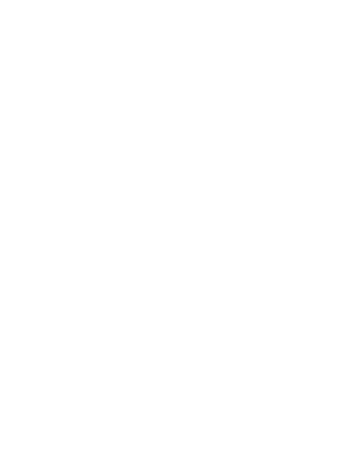## **March: Middle** Grade



In Treaty Words: For As Long As the Rivers Flow, Mishomis teaches his granddaughter to listen to the nature around them while also telling her about treaties: the first ones between the earth and the sky, the ones between the Indigenous peoples and the British, and what treaties are meant to be.

It's a fantastic Book-of-the-Month pick for March 2021 because of the ongoing conversations around treaties in what we know as Canada (but also Turtle Island more broadly) and what Canadian settlers owe the Indigenous peoples of these lands in the

from understanding the land they currently live on. Swinson's art is beautiful and flows in its simplicity and great use of colour. It's perfect for a story that encourages taking our time with nature. truest understanding of treaties and reconciliation. Craft does a great job at making this accessible to not just middle grade readers but also teens and adults who would benefit

## **ABOUT THE CREATORS**

**Aimée Craft (Writer) is an Anishinaabe/Métis lawyer from Treaty 1 territory in Manitoba. She is an Associate Professor at the Faculty of Common Law, University of Ottawa and a leading researcher on Indigenous laws, treaties, and water.**

**Luke Swinson is an Anishinaabe illustrator who is a member of the Mississaugas of Scugog Island First Nation. He lives in Kitchener, ON.**